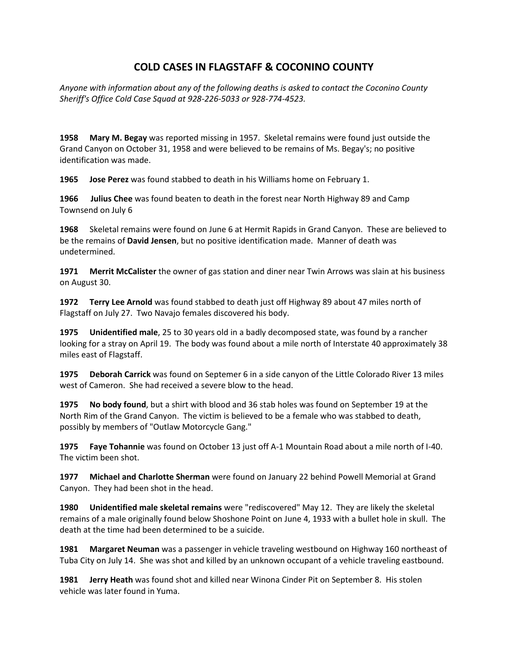## **COLD CASES IN FLAGSTAFF & COCONINO COUNTY**

*Anyone with information about any of the following deaths is asked to contact the Coconino County Sheriff's Office Cold Case Squad at 928-226-5033 or 928-774-4523.*

**1958 Mary M. Begay** was reported missing in 1957. Skeletal remains were found just outside the Grand Canyon on October 31, 1958 and were believed to be remains of Ms. Begay's; no positive identification was made.

**1965 Jose Perez** was found stabbed to death in his Williams home on February 1.

**1966 Julius Chee** was found beaten to death in the forest near North Highway 89 and Camp Townsend on July 6

**1968** Skeletal remains were found on June 6 at Hermit Rapids in Grand Canyon. These are believed to be the remains of **David Jensen**, but no positive identification made. Manner of death was undetermined.

**1971 Merrit McCalister** the owner of gas station and diner near Twin Arrows was slain at his business on August 30.

**1972 Terry Lee Arnold** was found stabbed to death just off Highway 89 about 47 miles north of Flagstaff on July 27. Two Navajo females discovered his body.

**1975 Unidentified male**, 25 to 30 years old in a badly decomposed state, was found by a rancher looking for a stray on April 19. The body was found about a mile north of Interstate 40 approximately 38 miles east of Flagstaff.

**1975 Deborah Carrick** was found on Septemer 6 in a side canyon of the Little Colorado River 13 miles west of Cameron. She had received a severe blow to the head.

**1975 No body found**, but a shirt with blood and 36 stab holes was found on September 19 at the North Rim of the Grand Canyon. The victim is believed to be a female who was stabbed to death, possibly by members of "Outlaw Motorcycle Gang."

**1975 Faye Tohannie** was found on October 13 just off A-1 Mountain Road about a mile north of I-40. The victim been shot.

**1977 Michael and Charlotte Sherman** were found on January 22 behind Powell Memorial at Grand Canyon. They had been shot in the head.

**1980 Unidentified male skeletal remains** were "rediscovered" May 12. They are likely the skeletal remains of a male originally found below Shoshone Point on June 4, 1933 with a bullet hole in skull. The death at the time had been determined to be a suicide.

**1981 Margaret Neuman** was a passenger in vehicle traveling westbound on Highway 160 northeast of Tuba City on July 14. She was shot and killed by an unknown occupant of a vehicle traveling eastbound.

**1981 Jerry Heath** was found shot and killed near Winona Cinder Pit on September 8. His stolen vehicle was later found in Yuma.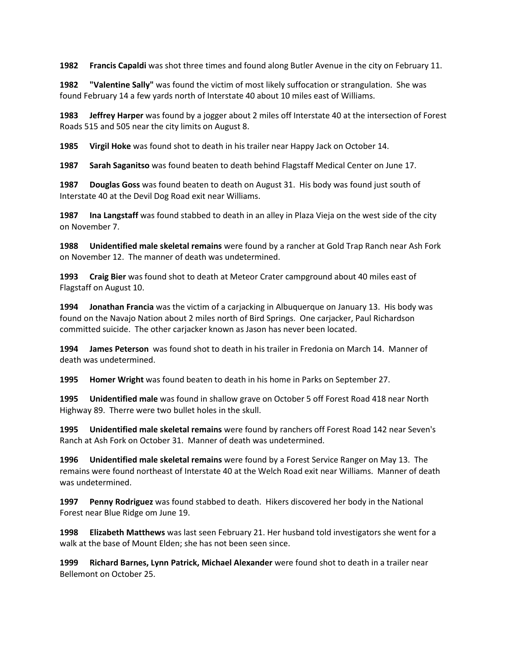**1982 Francis Capaldi** was shot three times and found along Butler Avenue in the city on February 11.

**1982 "Valentine Sally"** was found the victim of most likely suffocation or strangulation. She was found February 14 a few yards north of Interstate 40 about 10 miles east of Williams.

**1983 Jeffrey Harper** was found by a jogger about 2 miles off Interstate 40 at the intersection of Forest Roads 515 and 505 near the city limits on August 8.

**1985 Virgil Hoke** was found shot to death in his trailer near Happy Jack on October 14.

**1987 Sarah Saganitso** was found beaten to death behind Flagstaff Medical Center on June 17.

**1987 Douglas Goss** was found beaten to death on August 31. His body was found just south of Interstate 40 at the Devil Dog Road exit near Williams.

**1987 Ina Langstaff** was found stabbed to death in an alley in Plaza Vieja on the west side of the city on November 7.

**1988 Unidentified male skeletal remains** were found by a rancher at Gold Trap Ranch near Ash Fork on November 12. The manner of death was undetermined.

**1993 Craig Bier** was found shot to death at Meteor Crater campground about 40 miles east of Flagstaff on August 10.

**1994 Jonathan Francia** was the victim of a carjacking in Albuquerque on January 13. His body was found on the Navajo Nation about 2 miles north of Bird Springs. One carjacker, Paul Richardson committed suicide. The other carjacker known as Jason has never been located.

**1994 James Peterson** was found shot to death in his trailer in Fredonia on March 14. Manner of death was undetermined.

**1995 Homer Wright** was found beaten to death in his home in Parks on September 27.

**1995 Unidentified male** was found in shallow grave on October 5 off Forest Road 418 near North Highway 89. Therre were two bullet holes in the skull.

**1995 Unidentified male skeletal remains** were found by ranchers off Forest Road 142 near Seven's Ranch at Ash Fork on October 31. Manner of death was undetermined.

**1996 Unidentified male skeletal remains** were found by a Forest Service Ranger on May 13. The remains were found northeast of Interstate 40 at the Welch Road exit near Williams. Manner of death was undetermined.

**1997 Penny Rodriguez** was found stabbed to death. Hikers discovered her body in the National Forest near Blue Ridge om June 19.

**1998 Elizabeth Matthews** was last seen February 21. Her husband told investigators she went for a walk at the base of Mount Elden; she has not been seen since.

**1999 Richard Barnes, Lynn Patrick, Michael Alexander** were found shot to death in a trailer near Bellemont on October 25.